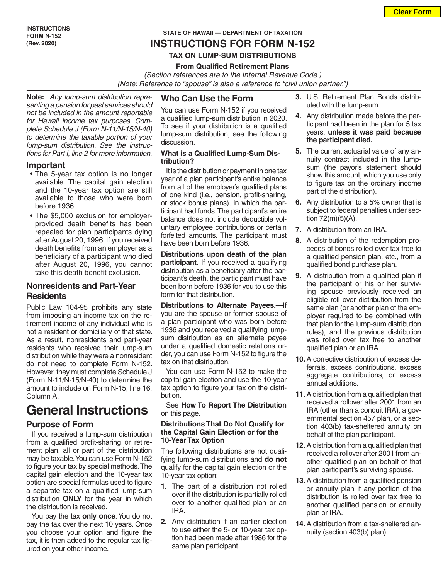#### **STATE OF HAWAII — DEPARTMENT OF TAXATION**

## **INSTRUCTIONS FOR FORM N-152**

#### **TAX ON LUMP-SUM DISTRIBUTIONS**

#### **From Qualified Retirement Plans**

*(Section references are to the Internal Revenue Code.)* *(Note: Reference to "spouse" is also a reference to "civil union partner.")*

**Note:** *Any lump-sum distribution representing a pension for past services should not be included in the amount reportable for Hawaii income tax purposes. Complete Schedule J (Form N-11/N-15/N-40) to determine the taxable portion of your lump-sum distribution. See the instructions for Part I, line 2 for more information.*

#### **Important**

- The 5-year tax option is no longer available. The capital gain election and the 10-year tax option are still available to those who were born before 1936.
- The \$5,000 exclusion for employerprovided death benefits has been repealed for plan participants dying after August 20, 1996. If you received death benefits from an employer as a beneficiary of a participant who died after August 20, 1996, you cannot take this death benefit exclusion.

## **Nonresidents and Part-Year Residents**

Public Law 104-95 prohibits any state from imposing an income tax on the retirement income of any individual who is not a resident or domiciliary of that state. As a result, nonresidents and part-year residents who received their lump-sum distribution while they were a nonresident do not need to complete Form N-152. However, they must complete Schedule J (Form N-11/N-15/N-40) to determine the amount to include on Form N-15, line 16, Column A.

## **General Instructions**

## **Purpose of Form**

If you received a lump-sum distribution from a qualified profit-sharing or retirement plan, all or part of the distribution may be taxable. You can use Form N-152 to figure your tax by special methods. The capital gain election and the 10-year tax option are special formulas used to figure a separate tax on a qualified lump-sum distribution **ONLY** for the year in which the distribution is received.

You pay the tax **only once**. You do not pay the tax over the next 10 years. Once you choose your option and figure the tax, it is then added to the regular tax figured on your other income.

#### **Who Can Use the Form**

You can use Form N-152 if you received a qualified lump-sum distribution in 2020. To see if your distribution is a qualified lump-sum distribution, see the following discussion.

#### **What is a Qualified Lump-Sum Distribution?**

It is the distribution or payment in one tax year of a plan participant's entire balance from all of the employer's qualified plans of one kind (i.e., pension, profit-sharing, or stock bonus plans), in which the participant had funds. The participant's entire balance does not include deductible voluntary employee contributions or certain forfeited amounts. The participant must have been born before 1936.

**Distributions upon death of the plan participant.** If you received a qualifying distribution as a beneficiary after the participant's death, the participant must have been born before 1936 for you to use this form for that distribution.

**Distributions to Alternate Payees.—**If you are the spouse or former spouse of a plan participant who was born before 1936 and you received a qualifying lumpsum distribution as an alternate payee under a qualified domestic relations order, you can use Form N-152 to figure the tax on that distribution.

You can use Form N-152 to make the capital gain election and use the 10-year tax option to figure your tax on the distribution.

See **How To Report The Distribution** on this page.

#### **Distributions That Do Not Qualify for the Capital Gain Election or for the 10-Year Tax Option**

The following distributions are not qualifying lump-sum distributions and **do not** qualify for the capital gain election or the 10-year tax option:

- **1.** The part of a distribution not rolled over if the distribution is partially rolled over to another qualified plan or an IRA.
- **2.** Any distribution if an earlier election to use either the 5- or 10-year tax option had been made after 1986 for the same plan participant.
- **3.** U.S. Retirement Plan Bonds distributed with the lump-sum.
- **4.** Any distribution made before the participant had been in the plan for 5 tax years, **unless it was paid because the participant died.**
- **5.** The current actuarial value of any annuity contract included in the lumpsum (the payor's statement should show this amount, which you use only to figure tax on the ordinary income part of the distribution).
- **6.** Any distribution to a 5% owner that is subject to federal penalties under section 72(m)(5)(A).
- **7.** A distribution from an IRA.
- **8.** A distribution of the redemption proceeds of bonds rolled over tax free to a qualified pension plan, etc., from a qualified bond purchase plan.
- **9.** A distribution from a qualified plan if the participant or his or her surviving spouse previously received an eligible roll over distribution from the same plan (or another plan of the employer required to be combined with that plan for the lump-sum distribution rules), and the previous distribution was rolled over tax free to another qualified plan or an IRA.
- **10.**A corrective distribution of excess deferrals, excess contributions, excess aggregate contributions, or excess annual additions.
- **11.**A distribution from a qualified plan that received a rollover after 2001 from an IRA (other than a conduit IRA), a governmental section 457 plan, or a section 403(b) tax-sheltered annuity on behalf of the plan participant.
- **12.**A distribution from a qualified plan that received a rollover after 2001 from another qualified plan on behalf of that plan participant's surviving spouse.
- **13.**A distribution from a qualified pension or annuity plan if any portion of the distribution is rolled over tax free to another qualified pension or annuity plan or IRA.
- **14.**A distribution from a tax-sheltered annuity (section 403(b) plan).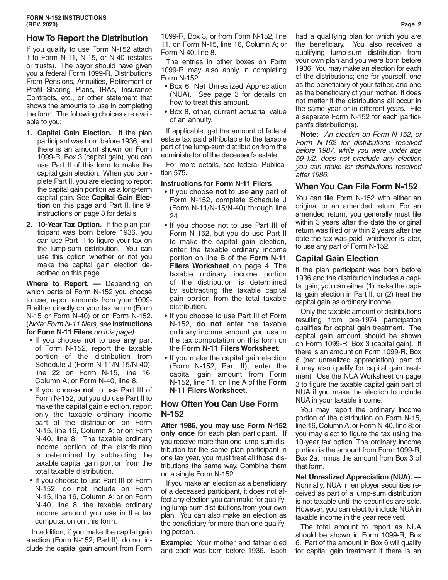## **How To Report the Distribution**

If you qualify to use Form N-152 attach it to Form N-11, N-15, or N-40 (estates or trusts). The payor should have given you a federal Form 1099-R, Distributions From Pensions, Annuities, Retirement or Profit–Sharing Plans, IRAs, Insurance Contracts, etc., or other statement that shows the amounts to use in completing the form. The following choices are available to you:

- **1. Capital Gain Election.** If the plan participant was born before 1936, and there is an amount shown on Form 1099-R, Box 3 (capital gain), you can use Part II of this form to make the capital gain election. When you complete Part II, you are electing to report the capital gain portion as a long-term capital gain. See **Capital Gain Election** on this page and Part II, line 9, instructions on page 3 for details.
- **2. 10-Year Tax Option.** If the plan participant was born before 1936, you can use Part III to figure your tax on the lump-sum distribution. You can use this option whether or not you make the capital gain election described on this page.

**Where to Report. —** Depending on which parts of Form N-152 you choose to use, report amounts from your 1099- R either directly on your tax return (Form N-15 or Form N-40) or on Form N-152. (*Note: Form N-11 filers, see* **Instructions for Form N-11 Filers** *on this page).*

- If you choose **not** to use **any** part of Form N-152, report the taxable portion of the distribution from Schedule J (Form N-11/N-15/N-40), line 22 on Form N-15, line 16, Column A; or Form N-40, line 8.
- If you choose **not** to use Part III of Form N-152, but you do use Part II to make the capital gain election, report only the taxable ordinary income part of the distribution on Form N-15, line 16, Column A; or on Form N-40, line 8. The taxable ordinary income portion of the distribution is determined by subtracting the taxable capital gain portion from the total taxable distribution.
- If you choose to use Part III of Form N-152, do not include on Form N-15, line 16, Column A; or on Form N-40, line 8, the taxable ordinary income amount you use in the tax computation on this form.

In addition, if you make the capital gain election (Form N-152, Part II), do not include the capital gain amount from Form

1099-R, Box 3, or from Form N-152, line 11, on Form N-15, line 16, Column A; or Form N-40, line 8.

The entries in other boxes on Form 1099-R may also apply in completing Form N-152:

- Box 6, Net Unrealized Appreciation (NUA). See page 3 for details on how to treat this amount.
- Box 8, other, current actuarial value of an annuity.

If applicable, get the amount of federal estate tax paid attributable to the taxable part of the lump-sum distribution from the administrator of the deceased's estate.

For more details, see federal Publication 575.

#### **Instructions for Form N-11 Filers**

- If you choose **not** to use **any** part of Form N-152, complete Schedule J (Form N-11/N-15/N-40) through line 24.
- If you choose not to use Part III of Form N-152, but you do use Part II to make the capital gain election, enter the taxable ordinary income portion on line B of the **Form N-11 Filers Worksheet** on page 4. The taxable ordinary income portion of the distribution is determined by subtracting the taxable capital gain portion from the total taxable distribution.
- If you choose to use Part III of Form N-152, **do not** enter the taxable ordinary income amount you use in the tax computation on this form on the **Form N-11 Filers Worksheet**.
- If you make the capital gain election (Form N-152, Part II), enter the capital gain amount from Form N-152, line 11, on line A of the **Form N-11 Filers Worksheet**.

## **How Often You Can Use Form N-152**

**After 1986, you may use Form N-152 only once** for each plan participant. If you receive more than one lump-sum distribution for the same plan participant in one tax year, you must treat all those distributions the same way. Combine them on a single Form N-152.

If you make an election as a beneficiary of a deceased participant, it does not affect any election you can make for qualifying lump-sum distributions from your own plan. You can also make an election as the beneficiary for more than one qualifying person.

**Example:** Your mother and father died and each was born before 1936. Each had a qualifying plan for which you are the beneficiary. You also received a qualifying lump-sum distribution from your own plan and you were born before 1936. You may make an election for each of the distributions; one for yourself, one as the beneficiary of your father, and one as the beneficiary of your mother. It does not matter if the distributions all occur in the same year or in different years. File a separate Form N-152 for each participant's distribution(s).

**Note:** *An election on Form N-152, or Form N-162 for distributions received before 1987, while you were under age 59-1/2, does not preclude any election you can make for distributions received after 1986.*

## **When You Can File Form N-152**

You can file Form N-152 with either an original or an amended return. For an amended return, you generally must file within 3 years after the date the original return was filed or within 2 years after the date the tax was paid, whichever is later, to use any part of Form N-152.

## **Capital Gain Election**

If the plan participant was born before 1936 and the distribution includes a capital gain, you can either (1) make the capital gain election in Part II, or (2) treat the capital gain as ordinary income.

Only the taxable amount of distributions resulting from pre-1974 participation qualifies for capital gain treatment. The capital gain amount should be shown on Form 1099-R, Box 3 (capital gain). If there is an amount on Form 1099-R, Box 6 (net unrealized appreciation), part of it may also qualify for capital gain treatment. Use the NUA Worksheet on page 3 to figure the taxable capital gain part of NUA if you make the election to include NUA in your taxable income.

You may report the ordinary income portion of the distribution on Form N-15, line 16, Column A; or Form N-40, line 8; or you may elect to figure the tax using the 10-year tax option. The ordinary income portion is the amount from Form 1099-R, Box 2a, minus the amount from Box 3 of that form.

**Net Unrealized Appreciation (NUA).** — Normally, NUA in employer securities received as part of a lump-sum distribution is not taxable until the securities are sold. However, you can elect to include NUA in taxable income in the year received.

The total amount to report as NUA should be shown in Form 1099-R, Box 6. Part of the amount in Box 6 will qualify for capital gain treatment if there is an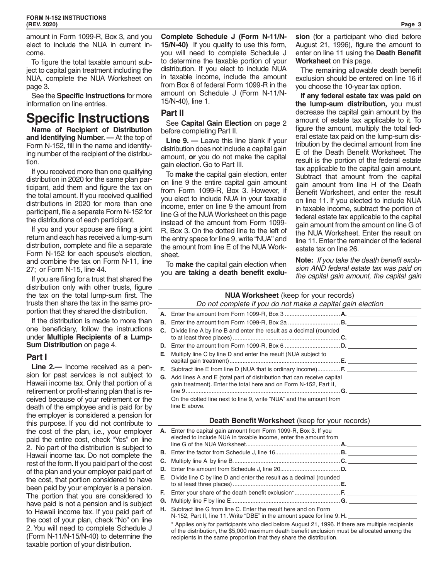amount in Form 1099-R, Box 3, and you elect to include the NUA in current income.

To figure the total taxable amount subject to capital gain treatment including the NUA, complete the NUA Worksheet on page 3.

See the **Specific Instructions** for more information on line entries.

# **Specific Instructions**

**Name of Recipient of Distribution and Identifying Number. —** At the top of Form N-152, fill in the name and identifying number of the recipient of the distribution.

If you received more than one qualifying distribution in 2020 for the same plan participant, add them and figure the tax on the total amount. If you received qualified distributions in 2020 for more than one participant, file a separate Form N-152 for the distributions of each participant.

If you and your spouse are filing a joint return and each has received a lump-sum distribution, complete and file a separate Form N-152 for each spouse's election, and combine the tax on Form N-11, line 27; or Form N-15, line 44.

If you are filing for a trust that shared the distribution only with other trusts, figure the tax on the total lump-sum first. The trusts then share the tax in the same proportion that they shared the distribution.

If the distribution is made to more than one beneficiary, follow the instructions under **Multiple Recipients of a Lump-Sum Distribution** on page 4.

## **Part I**

**Line 2.—** Income received as a pension for past services is not subject to Hawaii income tax. Only that portion of a retirement or profit-sharing plan that is received because of your retirement or the death of the employee and is paid for by the employer is considered a pension for this purpose. If you did not contribute to the cost of the plan, i.e., your employer paid the entire cost, check "Yes" on line 2. No part of the distribution is subject to Hawaii income tax. Do not complete the rest of the form. If you paid part of the cost of the plan and your employer paid part of the cost, that portion considered to have been paid by your employer is a pension. The portion that you are considered to have paid is not a pension and is subject to Hawaii income tax. If you paid part of the cost of your plan, check "No" on line 2. You will need to complete Schedule J (Form N-11/N-15/N-40) to determine the taxable portion of your distribution.

**Complete Schedule J (Form N-11/N-15/N-40)** If you qualify to use this form, you will need to complete Schedule J to determine the taxable portion of your distribution. If you elect to include NUA in taxable income, include the amount from Box 6 of federal Form 1099-R in the amount on Schedule J (Form N-11/N-15/N-40), line 1.

## **Part II**

See **Capital Gain Election** on page 2 before completing Part II.

**Line 9. —** Leave this line blank if your distribution does not include a capital gain amount, **or** you do not make the capital gain election. Go to Part III.

To **make** the capital gain election, enter on line 9 the entire capital gain amount from Form 1099-R, Box 3. However, if you elect to include NUA in your taxable income, enter on line 9 the amount from line G of the NUA Worksheet on this page instead of the amount from Form 1099- R, Box 3. On the dotted line to the left of the entry space for line 9, write "NUA" and the amount from line E of the NUA Worksheet.

To **make** the capital gain election when you **are taking a death benefit exclu-** **sion** (for a participant who died before August 21, 1996), figure the amount to enter on line 11 using the **Death Benefit Worksheet** on this page.

The remaining allowable death benefit exclusion should be entered on line 16 if you choose the 10-year tax option.

**If any federal estate tax was paid on the lump-sum distribution,** you must decrease the capital gain amount by the amount of estate tax applicable to it. To figure the amount, multiply the total federal estate tax paid on the lump-sum distribution by the decimal amount from line E of the Death Benefit Worksheet. The result is the portion of the federal estate tax applicable to the capital gain amount. Subtract that amount from the capital gain amount from line H of the Death Benefit Worksheet, and enter the result on line 11. If you elected to include NUA in taxable income, subtract the portion of federal estate tax applicable to the capital gain amount from the amount on line G of the NUA Worksheet. Enter the result on line 11. Enter the remainder of the federal estate tax on line 26.

**Note:** *If you take the death benefit exclusion AND federal estate tax was paid on the capital gain amount, the capital gain* 

## **NUA Worksheet** (keep for your records)

#### *Do not complete if you do not make a capital gain election*

| <b>C.</b> Divide line A by line B and enter the result as a decimal (rounded                                                                          |  |
|-------------------------------------------------------------------------------------------------------------------------------------------------------|--|
|                                                                                                                                                       |  |
| <b>E.</b> Multiply line C by line D and enter the result (NUA subject to                                                                              |  |
| <b>F.</b> Subtract line E from line D (NUA that is ordinary income) <b>F.</b>                                                                         |  |
| <b>G.</b> Add lines A and E (total part of distribution that can receive capital<br>gain treatment). Enter the total here and on Form N-152, Part II, |  |
| On the dotted line next to line 9, write "NUA" and the amount from<br>line E above.                                                                   |  |

#### **Death Benefit Worksheet** (keep for your records)

| A. Enter the capital gain amount from Form 1099-R, Box 3. If you<br>elected to include NUA in taxable income, enter the amount from |  |
|-------------------------------------------------------------------------------------------------------------------------------------|--|
|                                                                                                                                     |  |
|                                                                                                                                     |  |
|                                                                                                                                     |  |
| <b>E.</b> Divide line C by line D and enter the result as a decimal (rounded                                                        |  |
|                                                                                                                                     |  |
|                                                                                                                                     |  |
| <b>H.</b> Subtract line G from line C. Enter the result here and on Form                                                            |  |

N-152, Part II, line 11. Write "DBE" in the amount space for line 9. **H.** 

\* Applies only for participants who died before August 21, 1996. If there are multiple recipients of the distribution, the \$5,000 maximum death benefit exclusion must be allocated among the recipients in the same proportion that they share the distribution.